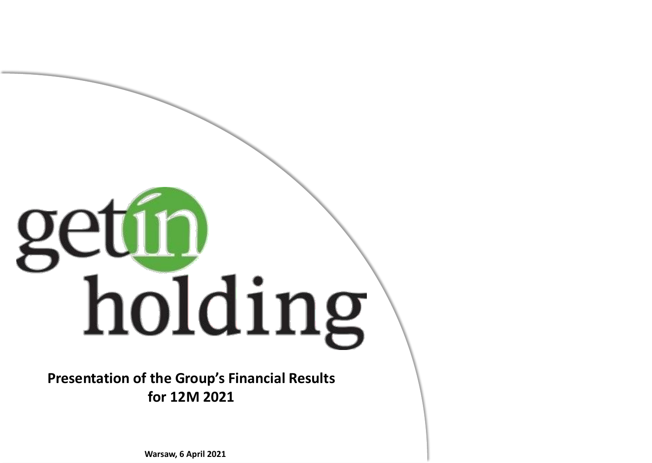# getín holding

**Presentation of the Group's Financial Results for 12M 2021**

**Warsaw, 6 April 2021**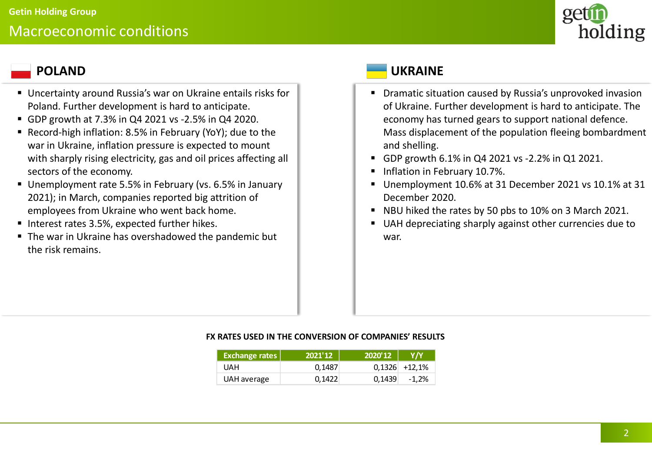

- Uncertainty around Russia's war on Ukraine entails risks for Poland. Further development is hard to anticipate.
- GDP growth at 7.3% in Q4 2021 vs -2.5% in Q4 2020.
- Record-high inflation: 8.5% in February (YoY); due to the war in Ukraine, inflation pressure is expected to mount with sharply rising electricity, gas and oil prices affecting all sectors of the economy.
- Unemployment rate 5.5% in February (vs. 6.5% in January 2021); in March, companies reported big attrition of employees from Ukraine who went back home.
- Interest rates 3.5%, expected further hikes.
- The war in Ukraine has overshadowed the pandemic but the risk remains.

# **POLAND UKRAINE**

- Dramatic situation caused by Russia's unprovoked invasion of Ukraine. Further development is hard to anticipate. The economy has turned gears to support national defence. Mass displacement of the population fleeing bombardment and shelling.
- GDP growth 6.1% in Q4 2021 vs -2.2% in Q1 2021.
- **■** Inflation in February 10.7%.
- Unemployment 10.6% at 31 December 2021 vs 10.1% at 31 December 2020.
- NBU hiked the rates by 50 pbs to 10% on 3 March 2021.
- UAH depreciating sharply against other currencies due to war.

### **FX RATES USED IN THE CONVERSION OF COMPANIES' RESULTS**

| <b>Exchange rates</b> | 2021'12 | 2020'12 | Y/Y             |
|-----------------------|---------|---------|-----------------|
| UAH                   | 0.1487  |         | $0,1326$ +12,1% |
| UAH average           | 0,1422  | 0,1439  | $-1.2%$         |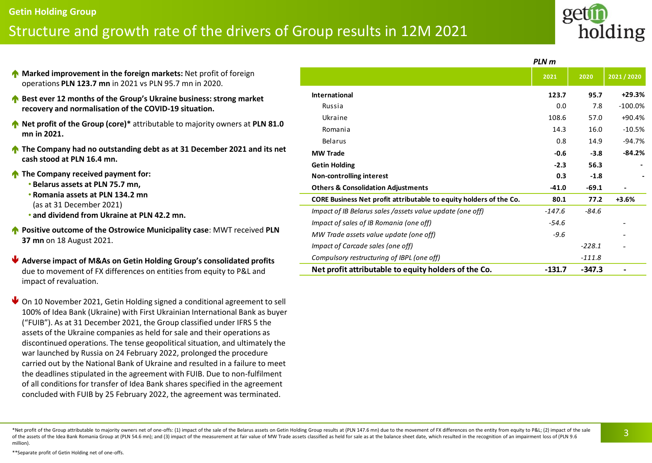### \*Net profit of the Group attributable to majority owners net of one-offs: (1) impact of the sale of the Belarus assets on Getin Holding Group results at (PLN 147.6 mn) due to the movement of FX differences on the entity fr of the assets of the Idea Bank Romania Group at (PLN 54.6 mn); and (3) impact of the measurement at fair value of MW Trade assets classified as held for sale as at the balance sheet date, which resulted in the recognition million).

# Structure and growth rate of the drivers of Group results in 12M 2021

- **Marked improvement in the foreign markets:** Net profit of foreign operations **PLN 123.7 mn** in 2021 vs PLN 95.7 mn in 2020.
- **A** Best ever 12 months of the Group's Ukraine business: strong market **recovery and normalisation of the COVID-19 situation.**
- **Net profit of the Group (core)\*** attributable to majority owners at **PLN 81.0 mn in 2021.**
- **The Company had no outstanding debt as at 31 December 2021 and its net cash stood at PLN 16.4 mn.**
- **The Company received payment for:**

**Getin Holding Group**

- **Belarus assets at PLN 75.7 mn,**
- **Romania assets at PLN 134.2 mn** (as at 31 December 2021)
- **and dividend from Ukraine at PLN 42.2 mn.**
- **Positive outcome of the Ostrowice Municipality case: MWT received PLN 37 mn** on 18 August 2021.
- **Adverse impact of M&As on Getin Holding Group's consolidated profits**  due to movement of FX differences on entities from equity to P&L and impact of revaluation.
- ↓ On 10 November 2021, Getin Holding signed a conditional agreement to sell 100% of Idea Bank (Ukraine) with First Ukrainian International Bank as buyer ("FUIB"). As at 31 December 2021, the Group classified under IFRS 5 the assets of the Ukraine companies as held for sale and their operations as discontinued operations. The tense geopolitical situation, and ultimately the war launched by Russia on 24 February 2022, prolonged the procedure carried out by the National Bank of Ukraine and resulted in a failure to meet the deadlines stipulated in the agreement with FUIB. Due to non-fulfilment of all conditions for transfer of Idea Bank shares specified in the agreement concluded with FUIB by 25 February 2022, the agreement was terminated.

|                                                                    | PLN m    |          |            |  |  |
|--------------------------------------------------------------------|----------|----------|------------|--|--|
|                                                                    | 2021     | 2020     | 2021/2020  |  |  |
| <b>International</b>                                               | 123.7    | 95.7     | $+29.3%$   |  |  |
| Russia                                                             | 0.0      | 7.8      | $-100.0\%$ |  |  |
| Ukraine                                                            | 108.6    | 57.0     | $+90.4%$   |  |  |
| Romania                                                            | 14.3     | 16.0     | $-10.5%$   |  |  |
| Belarus                                                            | 0.8      | 14.9     | $-94.7%$   |  |  |
| <b>MW Trade</b>                                                    | $-0.6$   | $-3.8$   | $-84.2%$   |  |  |
| <b>Getin Holding</b>                                               | $-2.3$   | 56.3     |            |  |  |
| <b>Non-controlling interest</b>                                    | 0.3      | $-1.8$   |            |  |  |
| <b>Others &amp; Consolidation Adjustments</b>                      | -41.0    | $-69.1$  |            |  |  |
| CORE Business Net profit attributable to equity holders of the Co. | 80.1     | 77.2     | $+3.6%$    |  |  |
| Impact of IB Belarus sales /assets value update (one off)          | $-147.6$ | $-84.6$  |            |  |  |
| Impact of sales of IB Romania (one off)                            | $-54.6$  |          |            |  |  |
| MW Trade assets value update (one off)                             | $-9.6$   |          |            |  |  |
| Impact of Carcade sales (one off)                                  |          | $-228.1$ |            |  |  |
| Compulsory restructuring of IBPL (one off)                         |          | $-111.8$ |            |  |  |
| Net profit attributable to equity holders of the Co.               | $-131.7$ | $-347.3$ |            |  |  |

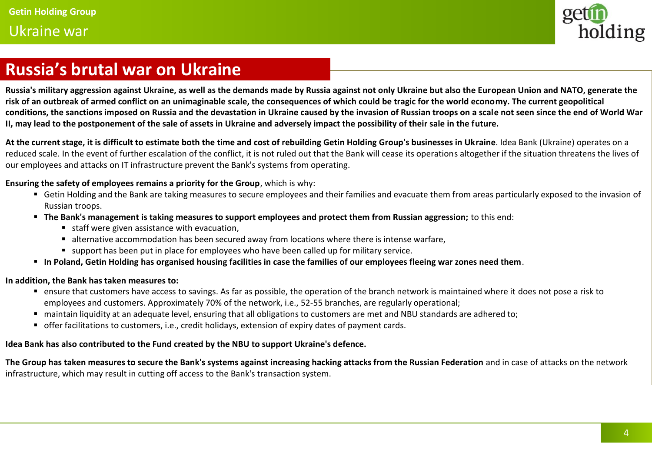## Ukraine war



# **Russia's brutal war on Ukraine**

**Russia's military aggression against Ukraine, as well as the demands made by Russia against not only Ukraine but also the European Union and NATO, generate the risk of an outbreak of armed conflict on an unimaginable scale, the consequences of which could be tragic for the world economy. The current geopolitical conditions, the sanctions imposed on Russia and the devastation in Ukraine caused by the invasion of Russian troops on a scale not seen since the end of World War II, may lead to the postponement of the sale of assets in Ukraine and adversely impact the possibility of their sale in the future.** 

**At the current stage, it is difficult to estimate both the time and cost of rebuilding Getin Holding Group's businesses in Ukraine**. Idea Bank (Ukraine) operates on a reduced scale. In the event of further escalation of the conflict, it is not ruled out that the Bank will cease its operations altogether if the situation threatens the lives of our employees and attacks on IT infrastructure prevent the Bank's systems from operating.

**Ensuring the safety of employees remains a priority for the Group**, which is why:

- Getin Holding and the Bank are taking measures to secure employees and their families and evacuate them from areas particularly exposed to the invasion of Russian troops.
- **The Bank's management is taking measures to support employees and protect them from Russian aggression;** to this end:
	- staff were given assistance with evacuation,
	- alternative accommodation has been secured away from locations where there is intense warfare,
	- support has been put in place for employees who have been called up for military service.
- **In Poland, Getin Holding has organised housing facilities in case the families of our employees fleeing war zones need them**.

### **In addition, the Bank has taken measures to:**

- ensure that customers have access to savings. As far as possible, the operation of the branch network is maintained where it does not pose a risk to employees and customers. Approximately 70% of the network, i.e., 52-55 branches, are regularly operational;
- maintain liquidity at an adequate level, ensuring that all obligations to customers are met and NBU standards are adhered to;
- offer facilitations to customers, i.e., credit holidays, extension of expiry dates of payment cards.

### **Idea Bank has also contributed to the Fund created by the NBU to support Ukraine's defence.**

**The Group has taken measures to secure the Bank's systems against increasing hacking attacks from the Russian Federation** and in case of attacks on the network infrastructure, which may result in cutting off access to the Bank's transaction system.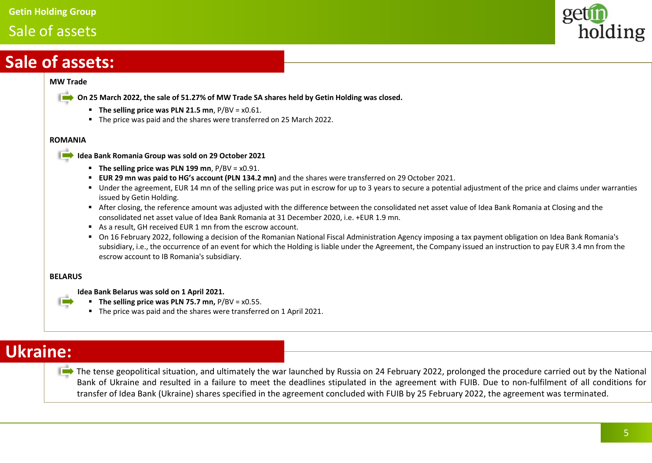### **Getin Holding Group**

# Sale of assets



# **Sale of assets:**

### **MW Trade**



- 
- **The selling price was PLN 21.5 mn**, P/BV = x0.61.
- The price was paid and the shares were transferred on 25 March 2022.

### **ROMANIA**



**Idea Bank Romania Group was sold on 29 October 2021**

- **The selling price was PLN 199 mn**, P/BV = x0.91.
- **EUR 29 mn was paid to HG's account (PLN 134.2 mn)** and the shares were transferred on 29 October 2021.
- Under the agreement, EUR 14 mn of the selling price was put in escrow for up to 3 years to secure a potential adjustment of the price and claims under warranties issued by Getin Holding.
- After closing, the reference amount was adjusted with the difference between the consolidated net asset value of Idea Bank Romania at Closing and the consolidated net asset value of Idea Bank Romania at 31 December 2020, i.e. +EUR 1.9 mn.
- As a result, GH received EUR 1 mn from the escrow account.
- On 16 February 2022, following a decision of the Romanian National Fiscal Administration Agency imposing a tax payment obligation on Idea Bank Romania's subsidiary, i.e., the occurrence of an event for which the Holding is liable under the Agreement, the Company issued an instruction to pay EUR 3.4 mn from the escrow account to IB Romania's subsidiary.

### **BELARUS**

**The Co** 

### **Idea Bank Belarus was sold on 1 April 2021.**

- **The selling price was PLN 75.7 mn,** P/BV = x0.55.
- The price was paid and the shares were transferred on 1 April 2021.

# **Ukraine:**

The tense geopolitical situation, and ultimately the war launched by Russia on 24 February 2022, prolonged the procedure carried out by the National Bank of Ukraine and resulted in a failure to meet the deadlines stipulated in the agreement with FUIB. Due to non-fulfilment of all conditions for transfer of Idea Bank (Ukraine) shares specified in the agreement concluded with FUIB by 25 February 2022, the agreement was terminated.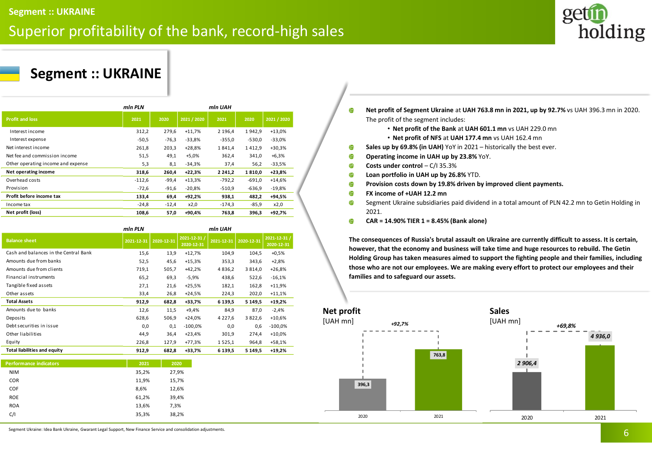# Superior profitability of the bank, record-high sales



# **Segment :: UKRAINE**

|                                    | mln PLN  |         |             | min UAH     |          |             |
|------------------------------------|----------|---------|-------------|-------------|----------|-------------|
| <b>Profit and loss</b>             | 2021     | 2020    | 2021 / 2020 | 2021        | 2020     | 2021 / 2020 |
| Interest income                    | 312,2    | 279,6   | $+11,7%$    | 2 196,4     | 1942,9   | $+13,0%$    |
| Interest expense                   | $-50,5$  | $-76,3$ | $-33,8%$    | $-355,0$    | $-530.0$ | $-33,0%$    |
| Net interest income                | 261,8    | 203,3   | $+28,8%$    | 1841.4      | 1412,9   | $+30,3%$    |
| Net fee and commission income      | 51,5     | 49,1    | $+5,0%$     | 362,4       | 341,0    | $+6,3%$     |
| Other operating income and expense | 5,3      | 8,1     | $-34,3%$    | 37,4        | 56,2     | $-33,5%$    |
| Net operating income               | 318,6    | 260,4   | $+22,3%$    | 2 2 4 1 , 2 | 1810.0   | $+23,8%$    |
| Overhead costs                     | $-112,6$ | $-99,4$ | $+13,3%$    | $-792,2$    | $-691,0$ | $+14,6%$    |
| Provision                          | $-72,6$  | $-91,6$ | $-20,8%$    | $-510,9$    | $-636,9$ | $-19,8%$    |
| Profit before income tax           | 133,4    | 69,4    | +92,2%      | 938,1       | 482,2    | +94,5%      |
| Income tax                         | $-24,8$  | $-12,4$ | x2,0        | $-174,3$    | $-85,9$  | x2,0        |
| Net profit (loss)                  | 108,6    | 57,0    | +90,4%      | 763,8       | 396,3    | +92,7%      |

|                                       | min PLN    | min UAH    |                            |             |            |                            |
|---------------------------------------|------------|------------|----------------------------|-------------|------------|----------------------------|
| <b>Balance sheet</b>                  | 2021-12-31 | 2020-12-31 | 2021-12-31 /<br>2020-12-31 | 2021-12-31  | 2020-12-31 | 2021-12-31 /<br>2020-12-31 |
| Cash and balances in the Central Bank | 15,6       | 13,9       | $+12,7%$                   | 104,9       | 104,5      | $+0,5%$                    |
| Amounts due from banks                | 52,5       | 45,6       | $+15,3%$                   | 353,3       | 343,6      | $+2,8%$                    |
| Amounts due from clients              | 719,1      | 505,7      | $+42,2%$                   | 4 8 3 6 , 2 | 3814,0     | $+26,8%$                   |
| Financial instruments                 | 65,2       | 69,3       | $-5,9%$                    | 438,6       | 522,6      | $-16,1%$                   |
| Tangible fixed assets                 | 27,1       | 21,6       | $+25,5%$                   | 182,1       | 162,8      | $+11,9%$                   |
| Other assets                          | 33,4       | 26,8       | $+24,5%$                   | 224,3       | 202,0      | $+11,1%$                   |
| <b>Total Assets</b>                   | 912,9      | 682,8      | +33,7%                     | 6 139,5     | 5 1 4 9, 5 | $+19,2%$                   |
| Amounts due to banks                  | 12,6       | 11,5       | $+9,4%$                    | 84,9        | 87,0       | $-2,4%$                    |
| Deposits                              | 628,6      | 506,9      | $+24,0%$                   | 4 2 2 7 , 6 | 3822,6     | $+10,6%$                   |
| Debt securities in issue              | 0,0        | 0,1        | $-100,0%$                  | 0,0         | 0,6        | $-100,0%$                  |
| Other liabilities                     | 44,9       | 36,4       | $+23,4%$                   | 301,9       | 274,4      | $+10,0%$                   |
| Equity                                | 226,8      | 127,9      | $+77,3%$                   | 1525,1      | 964,8      | $+58,1%$                   |
| <b>Total liabilities and equity</b>   | 912,9      | 682,8      | +33,7%                     | 6 139,5     | 5 1 4 9 .5 | $+19,2%$                   |

| <b>Performance indicators</b> | 2021  | 2020  |
|-------------------------------|-------|-------|
| <b>NIM</b>                    | 35,2% | 27,9% |
| <b>COR</b>                    | 11,9% | 15,7% |
| <b>COF</b>                    | 8,6%  | 12,6% |
| <b>ROE</b>                    | 61,2% | 39,4% |
| <b>ROA</b>                    | 13,6% | 7,3%  |
| C/I                           | 35,3% | 38,2% |
|                               |       |       |

**Net profit of Segment Ukraine** at **UAH 763.8 mn in 2021, up by 92.7%** vs UAH 396.3 mn in 2020.  $\bf{0}$ The profit of the segment includes:

- **Net profit of the Bank** at **UAH 601.1 mn** vs UAH 229.0 mn
- **Net profit of NFS** at **UAH 177.4 mn** vs UAH 162.4 mn
- $\bf \Phi$ **Sales up by 69.8% (in UAH)** YoY in 2021 – historically the best ever.
- $\bf{0}$ **Operating income in UAH up by 23.8%** YoY.
- $\mathbf{0}$ **Costs under control** – C/I 35.3%
- $\bf \Phi$ **Loan portfolio in UAH up by 26.8%** YTD.
- $\bf{f}$ **Provision costs down by 19.8% driven by improved client payments.**
- $\bf{f}$ **FX income of +UAH 12.2 mn**
- $\bf{0}$ Segment Ukraine subsidiaries paid dividend in a total amount of PLN 42.2 mn to Getin Holding in 2021.
- **CAR = 14.90% TIER 1 = 8.45% (Bank alone)** 6

**The consequences of Russia's brutal assault on Ukraine are currently difficult to assess. It is certain, however, that the economy and business will take time and huge resources to rebuild. The Getin Holding Group has taken measures aimed to support the fighting people and their families, including those who are not our employees. We are making every effort to protect our employees and their families and to safeguard our assets.**



Segment Ukraine: Idea Bank Ukraine, Gwarant Legal Support, New Finance Service and consolidation adjustments.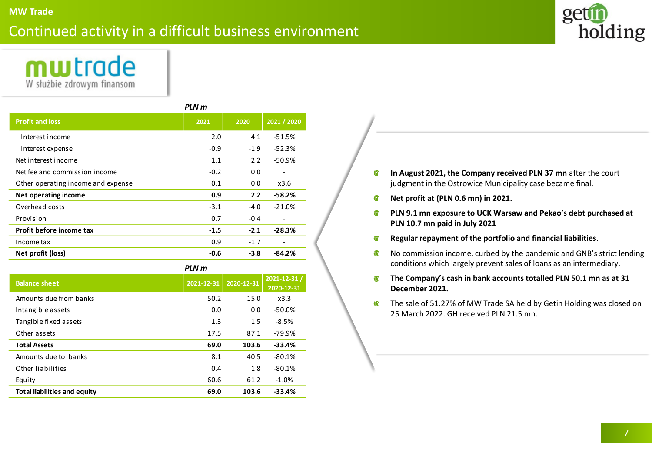# Continued activity in a difficult business environment





| PLN m                              |        |        |                              |  |  |
|------------------------------------|--------|--------|------------------------------|--|--|
| <b>Profit and loss</b>             | 2021   | 2020   | 2021 / 2020                  |  |  |
| Interest income                    | 2.0    | 4.1    | $-51.5%$                     |  |  |
| Interest expense                   | $-0.9$ | $-1.9$ | $-52.3%$                     |  |  |
| Net interest income                | 1.1    | 2.2    | $-50.9%$                     |  |  |
| Net fee and commission income      | $-0.2$ | 0.0    |                              |  |  |
| Other operating income and expense | 0.1    | 0.0    | x3.6                         |  |  |
| Net operating income               | 0.9    | 2.2    | $-58.2%$                     |  |  |
| Overhead costs                     | $-3.1$ | -4.0   | $-21.0%$                     |  |  |
| Provision                          | 0.7    | $-0.4$ | $\qquad \qquad \blacksquare$ |  |  |
| Profit before income tax           | $-1.5$ | $-2.1$ | $-28.3%$                     |  |  |
| Income tax                         | 0.9    | $-1.7$ | $\overline{a}$               |  |  |
| Net profit (loss)                  | $-0.6$ | $-3.8$ | -84.2%                       |  |  |

*PLN m*

| <b>Balance sheet</b>                | 2021-12-31 | 2020-12-31 | 2021-12-31 /<br>2020-12-31 |
|-------------------------------------|------------|------------|----------------------------|
| Amounts due from banks              | 50.2       | 15.0       | x3.3                       |
| Intangible assets                   | 0.0        | 0.0        | $-50.0%$                   |
| Tangible fixed assets               | 1.3        | 1.5        | $-8.5%$                    |
| Other assets                        | 17.5       | 87.1       | -79.9%                     |
| <b>Total Assets</b>                 | 69.0       | 103.6      | $-33.4%$                   |
| Amounts due to banks                | 8.1        | 40.5       | $-80.1%$                   |
| Other liabilities                   | 0.4        | 1.8        | $-80.1%$                   |
| Equity                              | 60.6       | 61.2       | $-1.0%$                    |
| <b>Total liabilities and equity</b> | 69.0       | 103.6      | $-33.4%$                   |

- $\bullet$ **In August 2021, the Company received PLN 37 mn** after the court judgment in the Ostrowice Municipality case became final.
- $\bullet$ **Net profit at (PLN 0.6 mn) in 2021.**
- **PLN 9.1 mn exposure to UCK Warsaw and Pekao's debt purchased at**   $\bullet$ **PLN 10.7 mn paid in July 2021**
- **Regular repayment of the portfolio and financial liabilities**.  $\bullet$
- No commission income, curbed by the pandemic and GNB's strict lending  $\bullet$ conditions which largely prevent sales of loans as an intermediary.
- **The Company's cash in bank accounts totalled PLN 50.1 mn as at 31**   $\bullet$ **December 2021.**
- The sale of 51.27% of MW Trade SA held by Getin Holding was closed on  $\bf{r}$ 25 March 2022. GH received PLN 21.5 mn.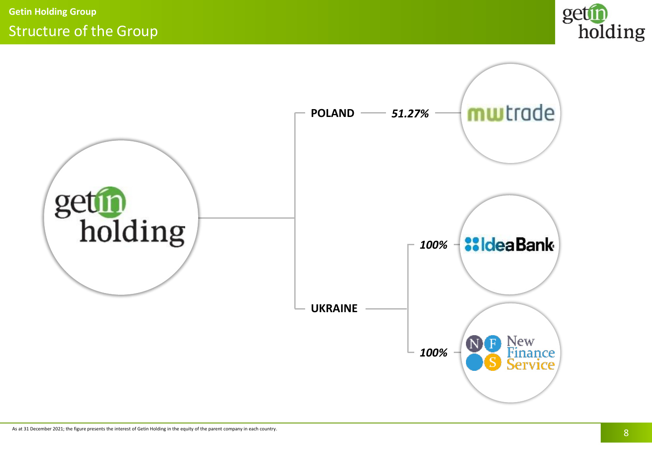

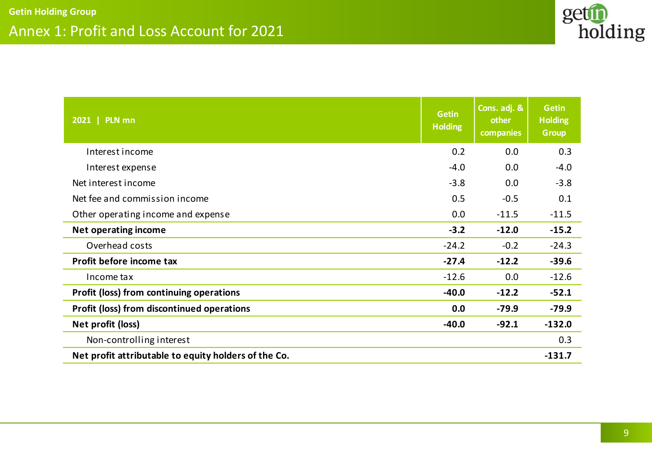

| 2021   PLN mn                                        | <b>Getin</b><br><b>Holding</b> | Cons. adj. &<br>other<br>companies | <b>Getin</b><br><b>Holding</b><br><b>Group</b> |
|------------------------------------------------------|--------------------------------|------------------------------------|------------------------------------------------|
| Interest income                                      | 0.2                            | 0.0                                | 0.3                                            |
| Interest expense                                     | $-4.0$                         | 0.0                                | $-4.0$                                         |
| Net interest income                                  | $-3.8$                         | 0.0                                | $-3.8$                                         |
| Net fee and commission income                        | 0.5                            | $-0.5$                             | 0.1                                            |
| Other operating income and expense                   | 0.0                            | $-11.5$                            | $-11.5$                                        |
| <b>Net operating income</b>                          | $-3.2$                         | $-12.0$                            | $-15.2$                                        |
| Overhead costs                                       | $-24.2$                        | $-0.2$                             | $-24.3$                                        |
| Profit before income tax                             | $-27.4$                        | $-12.2$                            | $-39.6$                                        |
| Income tax                                           | $-12.6$                        | 0.0                                | $-12.6$                                        |
| <b>Profit (loss) from continuing operations</b>      | $-40.0$                        | $-12.2$                            | $-52.1$                                        |
| <b>Profit (loss) from discontinued operations</b>    | 0.0                            | $-79.9$                            | $-79.9$                                        |
| Net profit (loss)                                    | $-40.0$                        | $-92.1$                            | $-132.0$                                       |
| Non-controlling interest                             |                                |                                    | 0.3                                            |
| Net profit attributable to equity holders of the Co. |                                |                                    | $-131.7$                                       |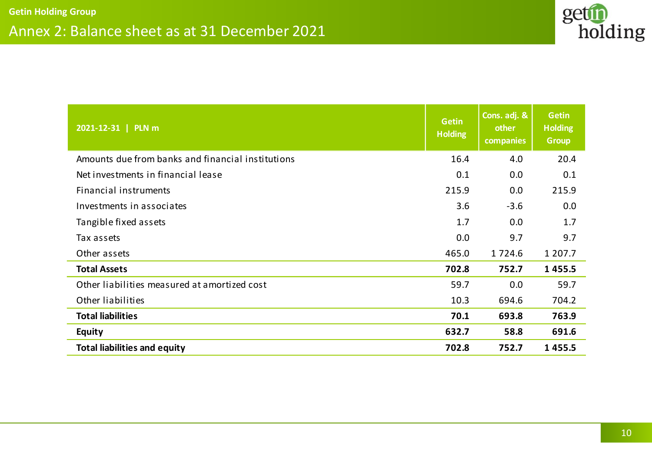

| 2021-12-31   PLN m                                | <b>Getin</b><br><b>Holding</b> | Cons. adj. &<br>other<br>companies | <b>Getin</b><br><b>Holding</b><br><b>Group</b> |
|---------------------------------------------------|--------------------------------|------------------------------------|------------------------------------------------|
| Amounts due from banks and financial institutions | 16.4                           | 4.0                                | 20.4                                           |
| Net investments in financial lease                | 0.1                            | 0.0                                | 0.1                                            |
| Financial instruments                             | 215.9                          | 0.0                                | 215.9                                          |
| Investments in associates                         | 3.6                            | $-3.6$                             | 0.0                                            |
| Tangible fixed assets                             | 1.7                            | 0.0                                | 1.7                                            |
| Tax assets                                        | 0.0                            | 9.7                                | 9.7                                            |
| Other assets                                      | 465.0                          | 1724.6                             | 1 207.7                                        |
| <b>Total Assets</b>                               | 702.8                          | 752.7                              | 1455.5                                         |
| Other liabilities measured at amortized cost      | 59.7                           | 0.0                                | 59.7                                           |
| Other liabilities                                 | 10.3                           | 694.6                              | 704.2                                          |
| <b>Total liabilities</b>                          | 70.1                           | 693.8                              | 763.9                                          |
| <b>Equity</b>                                     | 632.7                          | 58.8                               | 691.6                                          |
| <b>Total liabilities and equity</b>               | 702.8                          | 752.7                              | 1455.5                                         |